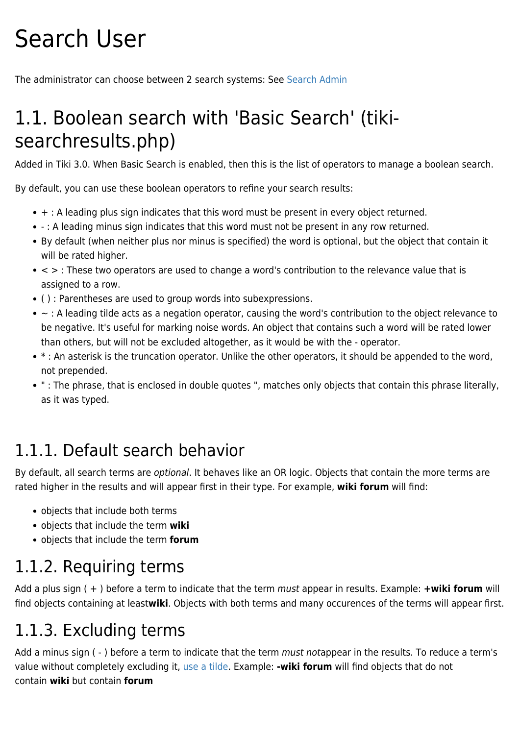# Search User

The administrator can choose between 2 search systems: See [Search Admin](https://doc.tiki.org/Search-Admin)

# 1.1. Boolean search with 'Basic Search' (tikisearchresults.php)

Added in Tiki 3.0. When Basic Search is enabled, then this is the list of operators to manage a boolean search.

By default, you can use these boolean operators to refine your search results:

- + : A leading plus sign indicates that this word must be present in every object returned.
- : A leading minus sign indicates that this word must not be present in any row returned.
- By default (when neither plus nor minus is specified) the word is optional, but the object that contain it will be rated higher.
- $\bullet$  < > : These two operators are used to change a word's contribution to the relevance value that is assigned to a row.
- ( ) : Parentheses are used to group words into subexpressions.
- ~ : A leading tilde acts as a negation operator, causing the word's contribution to the object relevance to be negative. It's useful for marking noise words. An object that contains such a word will be rated lower than others, but will not be excluded altogether, as it would be with the - operator.
- \* : An asterisk is the truncation operator. Unlike the other operators, it should be appended to the word, not prepended.
- " : The phrase, that is enclosed in double quotes ", matches only objects that contain this phrase literally, as it was typed.

#### 1.1.1. Default search behavior

By default, all search terms are optional. It behaves like an OR logic. Objects that contain the more terms are rated higher in the results and will appear first in their type. For example, **wiki forum** will find:

- objects that include both terms
- objects that include the term **wiki**
- objects that include the term **forum**

#### 1.1.2. Requiring terms

Add a plus sign ( + ) before a term to indicate that the term must appear in results. Example: **+wiki forum** will find objects containing at least**wiki**. Objects with both terms and many occurences of the terms will appear first.

#### 1.1.3. Excluding terms

Add a minus sign (-) before a term to indicate that the term must notappear in the results. To reduce a term's value without completely excluding it, [use a tilde](#page--1-0). Example: **-wiki forum** will find objects that do not contain **wiki** but contain **forum**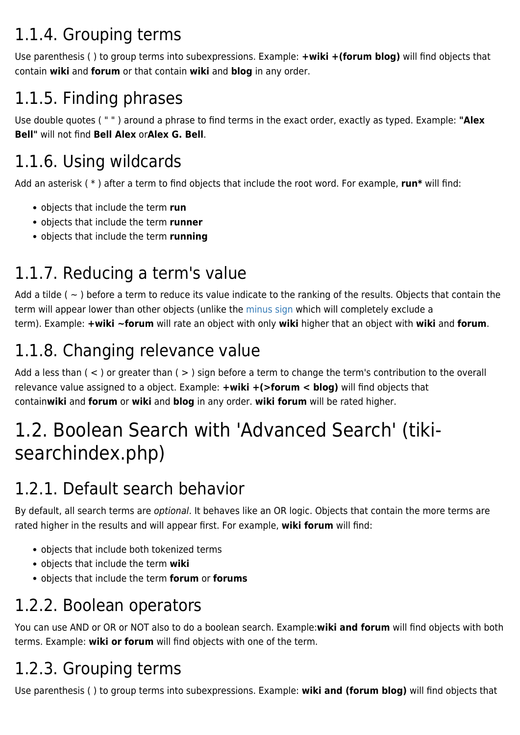# 1.1.4. Grouping terms

Use parenthesis ( ) to group terms into subexpressions. Example: **+wiki +(forum blog)** will find objects that contain **wiki** and **forum** or that contain **wiki** and **blog** in any order.

## 1.1.5. Finding phrases

Use double quotes ( " " ) around a phrase to find terms in the exact order, exactly as typed. Example: **"Alex Bell"** will not find **Bell Alex** or**Alex G. Bell**.

## 1.1.6. Using wildcards

Add an asterisk ( \* ) after a term to find objects that include the root word. For example, **run\*** will find:

- objects that include the term **run**
- objects that include the term **runner**
- objects that include the term **running**

## 1.1.7. Reducing a term's value

Add a tilde ( $\sim$ ) before a term to reduce its value indicate to the ranking of the results. Objects that contain the term will appear lower than other objects (unlike the [minus sign](#page--1-0) which will completely exclude a term). Example: **+wiki ~forum** will rate an object with only **wiki** higher that an object with **wiki** and **forum**.

#### 1.1.8. Changing relevance value

Add a less than ( < ) or greater than ( > ) sign before a term to change the term's contribution to the overall relevance value assigned to a object. Example: **+wiki +(>forum < blog)** will find objects that contain**wiki** and **forum** or **wiki** and **blog** in any order. **wiki forum** will be rated higher.

# 1.2. Boolean Search with 'Advanced Search' (tikisearchindex.php)

#### 1.2.1. Default search behavior

By default, all search terms are *optional*. It behaves like an OR logic. Objects that contain the more terms are rated higher in the results and will appear first. For example, **wiki forum** will find:

- objects that include both tokenized terms
- objects that include the term **wiki**
- objects that include the term **forum** or **forums**

#### 1.2.2. Boolean operators

You can use AND or OR or NOT also to do a boolean search. Example:**wiki and forum** will find objects with both terms. Example: **wiki or forum** will find objects with one of the term.

## 1.2.3. Grouping terms

Use parenthesis ( ) to group terms into subexpressions. Example: **wiki and (forum blog)** will find objects that